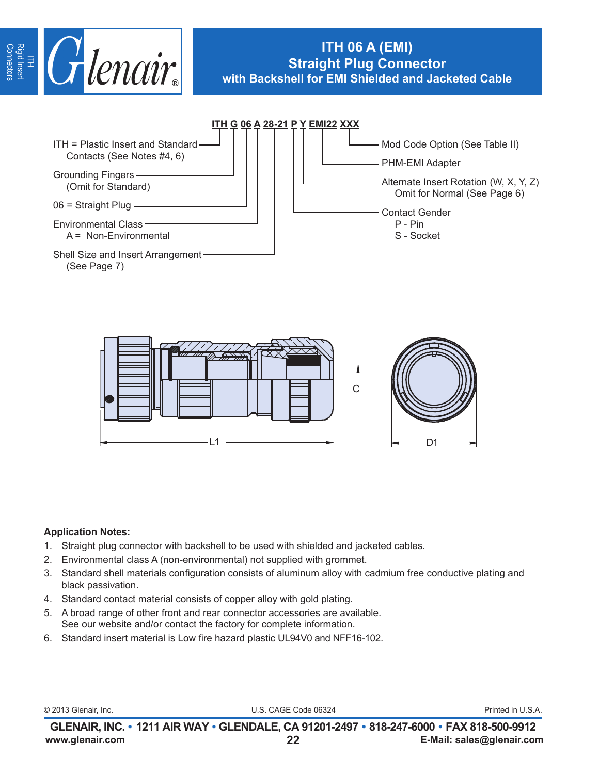

# **ITH 06 A (EMI) Straight Plug Connector with Backshell for EMI Shielded and Jacketed Cable**





### **Application Notes:**

- 1. Straight plug connector with backshell to be used with shielded and jacketed cables.
- 2. Environmental class A (non-environmental) not supplied with grommet.
- 3. Standard shell materials configuration consists of aluminum alloy with cadmium free conductive plating and black passivation.
- 4. Standard contact material consists of copper alloy with gold plating.
- 5. A broad range of other front and rear connector accessories are available. See our website and/or contact the factory for complete information.
- 6. Standard insert material is Low fire hazard plastic UL94V0 and NFF16-102.

© 2013 Glenair, Inc. U.S. CAGE Code 06324 Printed in U.S.A.